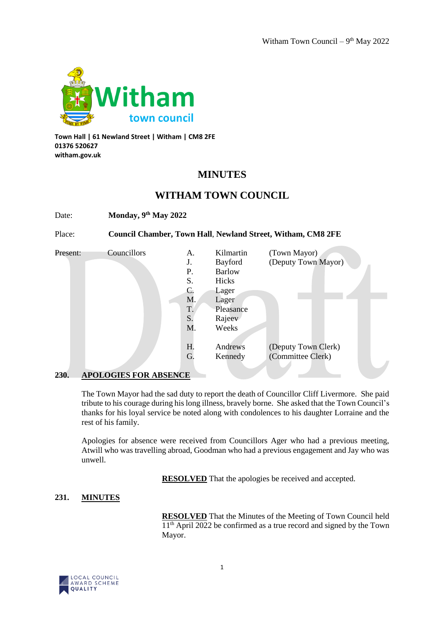

**Town Hall | 61 Newland Street | Witham | CM8 2FE 01376 520627 witham.gov.uk**

# **MINUTES**

## **WITHAM TOWN COUNCIL**

Date: **Monday, 9th May 2022**

Place: **Council Chamber, Town Hall**, **Newland Street, Witham, CM8 2FE**

| Present: | Councillors | А. | Kilmartin     | (Town Mayor)        |
|----------|-------------|----|---------------|---------------------|
|          |             | J. | Bayford       | (Deputy Town Mayor) |
|          |             | Ρ. | <b>Barlow</b> |                     |
|          |             | S. | Hicks         |                     |
|          |             | C. | Lager         |                     |
|          |             | M. | Lager         |                     |
|          |             | T. | Pleasance     |                     |
|          |             | S. | Rajeev        |                     |
|          |             | M. | Weeks         |                     |
|          |             |    |               |                     |
|          |             | H. | Andrews       | (Deputy Town Clerk) |
|          |             | G. | Kennedy       | (Committee Clerk)   |
|          |             |    |               |                     |

#### **230. APOLOGIES FOR ABSENCE**

The Town Mayor had the sad duty to report the death of Councillor Cliff Livermore. She paid tribute to his courage during his long illness, bravely borne. She asked that the Town Council's thanks for his loyal service be noted along with condolences to his daughter Lorraine and the rest of his family.

Apologies for absence were received from Councillors Ager who had a previous meeting, Atwill who was travelling abroad, Goodman who had a previous engagement and Jay who was unwell.

**RESOLVED** That the apologies be received and accepted.

## **231. MINUTES**

**RESOLVED** That the Minutes of the Meeting of Town Council held  $11<sup>th</sup>$  April 2022 be confirmed as a true record and signed by the Town Mayor.

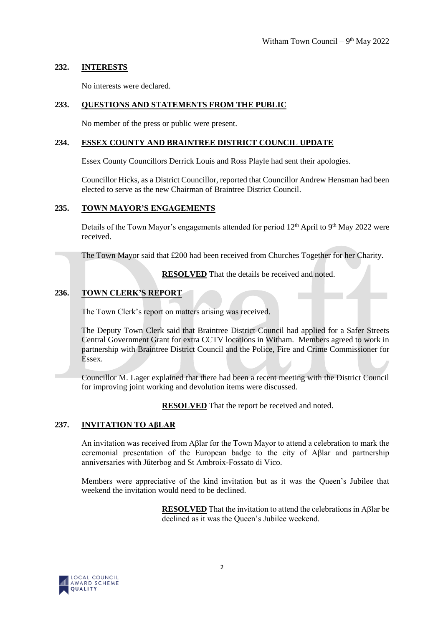## **232. INTERESTS**

No interests were declared.

## **233. QUESTIONS AND STATEMENTS FROM THE PUBLIC**

No member of the press or public were present.

#### **234. ESSEX COUNTY AND BRAINTREE DISTRICT COUNCIL UPDATE**

Essex County Councillors Derrick Louis and Ross Playle had sent their apologies.

Councillor Hicks, as a District Councillor, reported that Councillor Andrew Hensman had been elected to serve as the new Chairman of Braintree District Council.

#### **235. TOWN MAYOR'S ENGAGEMENTS**

Details of the Town Mayor's engagements attended for period  $12<sup>th</sup>$  April to  $9<sup>th</sup>$  May 2022 were received.

The Town Mayor said that £200 had been received from Churches Together for her Charity.

**RESOLVED** That the details be received and noted.

## **236. TOWN CLERK'S REPORT**

The Town Clerk's report on matters arising was received.

The Deputy Town Clerk said that Braintree District Council had applied for a Safer Streets Central Government Grant for extra CCTV locations in Witham. Members agreed to work in partnership with Braintree District Council and the Police, Fire and Crime Commissioner for Essex.

Councillor M. Lager explained that there had been a recent meeting with the District Council for improving joint working and devolution items were discussed.

**RESOLVED** That the report be received and noted.

#### **237. INVITATION TO AβLAR**

An invitation was received from Aβlar for the Town Mayor to attend a celebration to mark the ceremonial presentation of the European badge to the city of Aβlar and partnership anniversaries with Jűterbog and St Ambroix-Fossato di Vico.

Members were appreciative of the kind invitation but as it was the Queen's Jubilee that weekend the invitation would need to be declined.

> **RESOLVED** That the invitation to attend the celebrations in ABlar be declined as it was the Queen's Jubilee weekend.